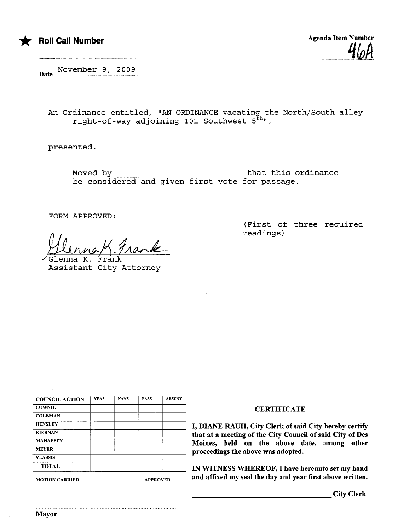

\* Roll Call Number Agenda Item Number Agenda Item Number  $-$  40H

November 9, 2009 Date........

An Ordinance entitled, "AN ORDINANCE vacating the North/South alley right-of-way adjoining 101 Southwest 5<sup>th</sup>",

presented.

Moved by that this ordinance be considered and given first vote for passage.

FORM APPROVED:

Henna K Frank

~a K. Frank Assistant City Attorney

(First of three required readings)

| <b>MOTION CARRIED</b> |             | <b>APPROVED</b> |             |               | and aft       |
|-----------------------|-------------|-----------------|-------------|---------------|---------------|
| <b>TOTAL</b>          |             |                 |             |               | <b>IN WI</b>  |
| <b>VLASSIS</b>        |             |                 |             |               |               |
| <b>MEYER</b>          |             |                 |             |               | procee        |
| <b>MAHAFFEY</b>       |             |                 |             |               | <b>Moine:</b> |
| <b>KIERNAN</b>        |             |                 |             |               | that at       |
| <b>HENSLEY</b>        |             |                 |             |               | I, DIA        |
| <b>COLEMAN</b>        |             |                 |             |               |               |
| <b>COWNIE</b>         |             |                 |             |               |               |
| <b>COUNCIL ACTION</b> | <b>YEAS</b> | <b>NAYS</b>     | <b>PASS</b> | <b>ABSENT</b> |               |

..........................................................................................

## **CERTIFICATE**

NE RAUH, City Clerk of said City hereby certify a meeting of the City Council of said City of Des s, held on the above date, among other dings the above was adopted.

TNESS WHEREOF, I have hereunto set my hand fixed my seal the day and year first above written.

City Clerk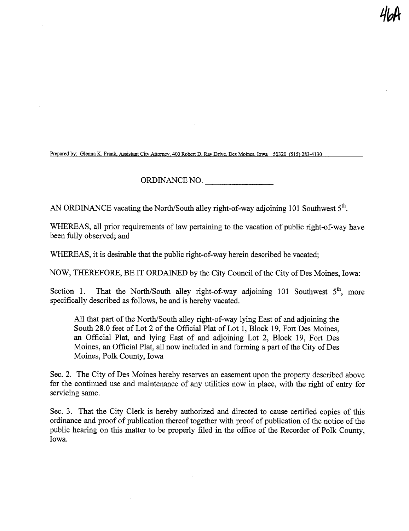Prepared by: Glenna K. Frank, Assistant City Attorney, 400 Robert D. Ray Drive, Des Moines, Iowa 50320 (515) 283-4130

ORDINANCE NO.

4Wl

AN ORDINANCE vacating the North/South alley right-of-way adjoining 101 Southwest  $5<sup>th</sup>$ .

WHEREAS, all prior requirements of law pertaining to the vacation of public right-of-way have been fuly observed; and

WHEREAS, it is desirable that the public right-of-way herein described be vacated;

NOW, THEREFORE, BE IT ORDAINED by the City Council of the City of Des Moines, Iowa:

Section 1. That the North/South alley right-of-way adjoining 101 Southwest  $5<sup>th</sup>$ , more specifically described as follows, be and is hereby vacated.

All that part of the North/South alley right-of-way lying East of and adjoining the South 28.0 feet of Lot 2 of the Official Plat of Lot 1, Block 19, Fort Des Moines, an Official Plat, and lying East of and adjoining Lot 2, Block 19, Fort Des Moines, an Official Plat, all now included in and forming a part of the City of Des Moines, Polk County, Iowa

Sec. 2. The City of Des Moines hereby reserves an easement upon the property described above for the continued use and maintenance of any utilities now in place, with the right of entry for servicing same.

Sec. 3. That the City Clerk is hereby authorized and directed to cause certified copies of ths ordinance and proof of publication thereof together with proof of publication of the notice of the public hearing on this matter to be properly filed in the office of the Recorder of Polk County. Iowa.